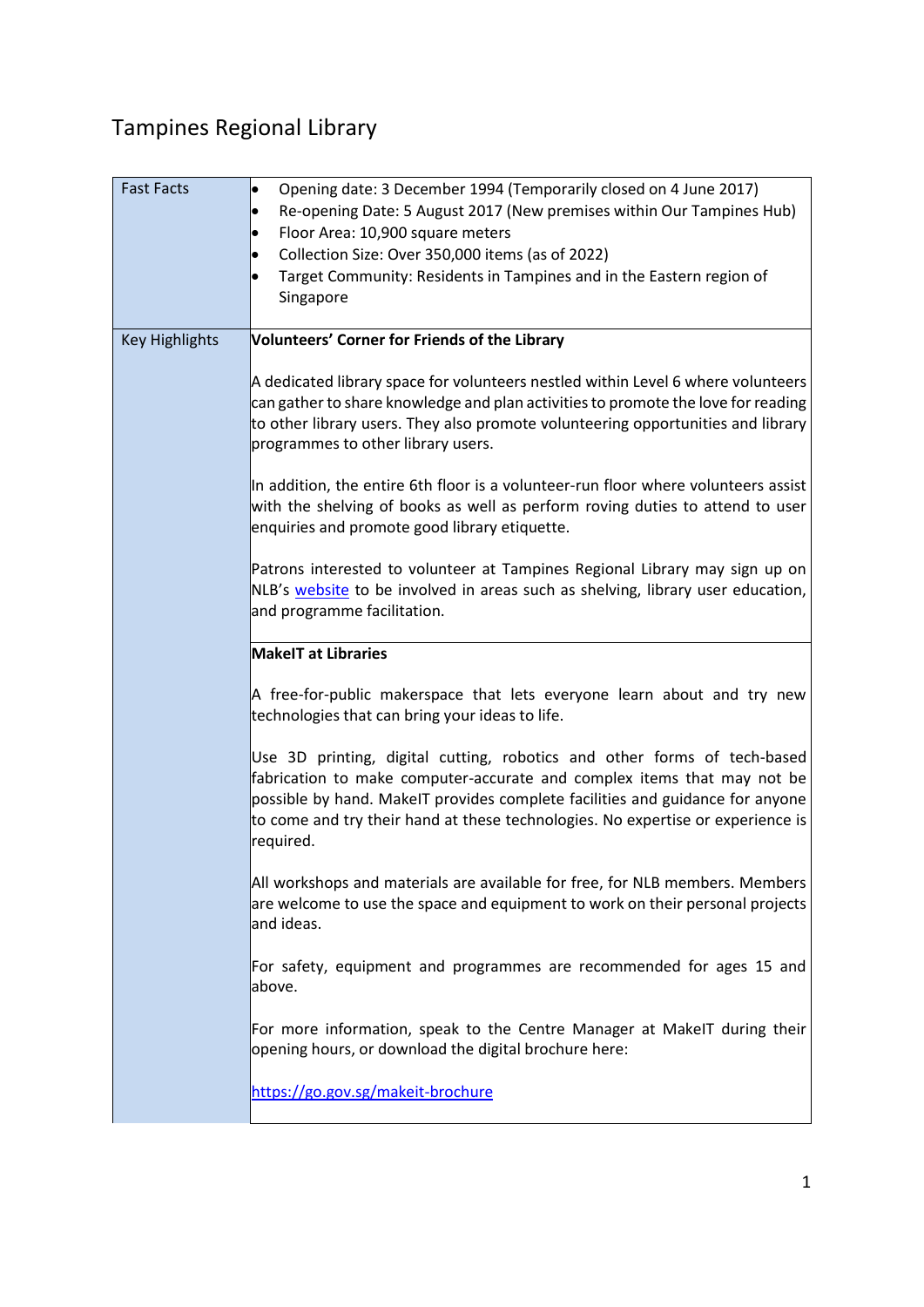# Tampines Regional Library

| <b>Fast Facts</b>     | Opening date: 3 December 1994 (Temporarily closed on 4 June 2017)<br>Re-opening Date: 5 August 2017 (New premises within Our Tampines Hub)<br>Floor Area: 10,900 square meters<br>Collection Size: Over 350,000 items (as of 2022)<br>Target Community: Residents in Tampines and in the Eastern region of<br>Singapore              |
|-----------------------|--------------------------------------------------------------------------------------------------------------------------------------------------------------------------------------------------------------------------------------------------------------------------------------------------------------------------------------|
| <b>Key Highlights</b> | <b>Volunteers' Corner for Friends of the Library</b>                                                                                                                                                                                                                                                                                 |
|                       | A dedicated library space for volunteers nestled within Level 6 where volunteers<br>can gather to share knowledge and plan activities to promote the love for reading<br>to other library users. They also promote volunteering opportunities and library<br>programmes to other library users.                                      |
|                       | In addition, the entire 6th floor is a volunteer-run floor where volunteers assist<br>with the shelving of books as well as perform roving duties to attend to user<br>enquiries and promote good library etiquette.                                                                                                                 |
|                       | Patrons interested to volunteer at Tampines Regional Library may sign up on<br>NLB's website to be involved in areas such as shelving, library user education,<br>and programme facilitation.                                                                                                                                        |
|                       | <b>MakelT at Libraries</b>                                                                                                                                                                                                                                                                                                           |
|                       | A free-for-public makerspace that lets everyone learn about and try new<br>technologies that can bring your ideas to life.                                                                                                                                                                                                           |
|                       | Use 3D printing, digital cutting, robotics and other forms of tech-based<br>fabrication to make computer-accurate and complex items that may not be<br>possible by hand. MakeIT provides complete facilities and guidance for anyone<br>to come and try their hand at these technologies. No expertise or experience is<br>required. |
|                       | All workshops and materials are available for free, for NLB members. Members<br>are welcome to use the space and equipment to work on their personal projects<br>and ideas.                                                                                                                                                          |
|                       | For safety, equipment and programmes are recommended for ages 15 and<br>labove.                                                                                                                                                                                                                                                      |
|                       | For more information, speak to the Centre Manager at MakeIT during their<br>opening hours, or download the digital brochure here:                                                                                                                                                                                                    |
|                       | https://go.gov.sg/makeit-brochure                                                                                                                                                                                                                                                                                                    |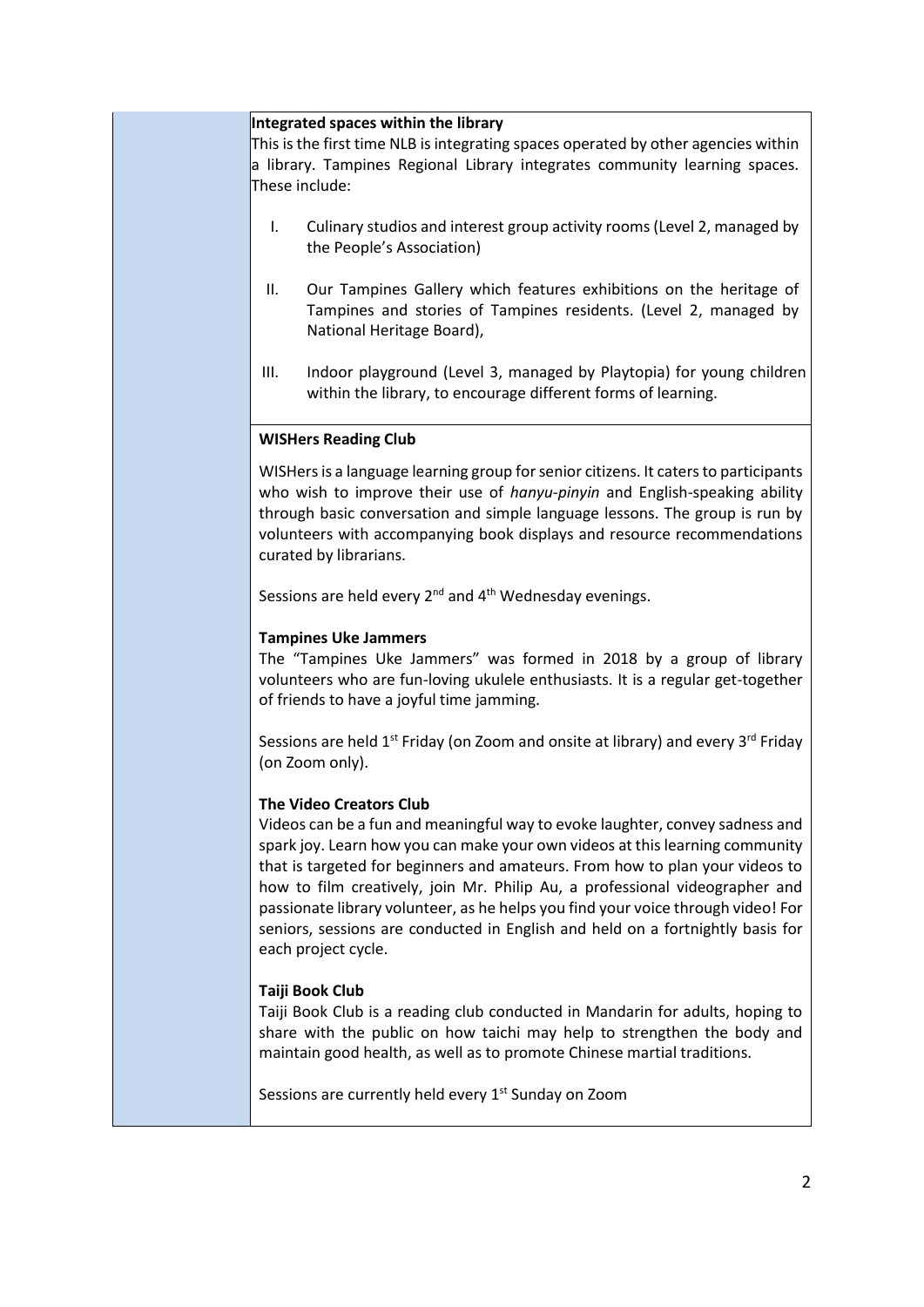#### **Integrated spaces within the library**

This is the first time NLB is integrating spaces operated by other agencies within a library. Tampines Regional Library integrates community learning spaces. These include:

- I. Culinary studios and interest group activity rooms (Level 2, managed by the People's Association)
- II. Our Tampines Gallery which features exhibitions on the heritage of Tampines and stories of Tampines residents. (Level 2, managed by National Heritage Board),
- III. Indoor playground (Level 3, managed by Playtopia) for young children within the library, to encourage different forms of learning.

### **WISHers Reading Club**

WISHers is a language learning group for senior citizens. It caters to participants who wish to improve their use of *hanyu-pinyin* and English-speaking ability through basic conversation and simple language lessons. The group is run by volunteers with accompanying book displays and resource recommendations curated by librarians.

Sessions are held every  $2^{nd}$  and  $4^{th}$  Wednesday evenings.

### **Tampines Uke Jammers**

The "Tampines Uke Jammers" was formed in 2018 by a group of library volunteers who are fun-loving ukulele enthusiasts. It is a regular get-together of friends to have a joyful time jamming.

Sessions are held  $1^{st}$  Friday (on Zoom and onsite at library) and every  $3^{rd}$  Friday (on Zoom only).

## **The Video Creators Club**

Videos can be a fun and meaningful way to evoke laughter, convey sadness and spark joy. Learn how you can make your own videos at this learning community that is targeted for beginners and amateurs. From how to plan your videos to how to film creatively, join Mr. Philip Au, a professional videographer and passionate library volunteer, as he helps you find your voice through video! For seniors, sessions are conducted in English and held on a fortnightly basis for each project cycle.

## **Taiji Book Club**

Taiji Book Club is a reading club conducted in Mandarin for adults, hoping to share with the public on how taichi may help to strengthen the body and maintain good health, as well as to promote Chinese martial traditions.

Sessions are currently held every 1<sup>st</sup> Sunday on Zoom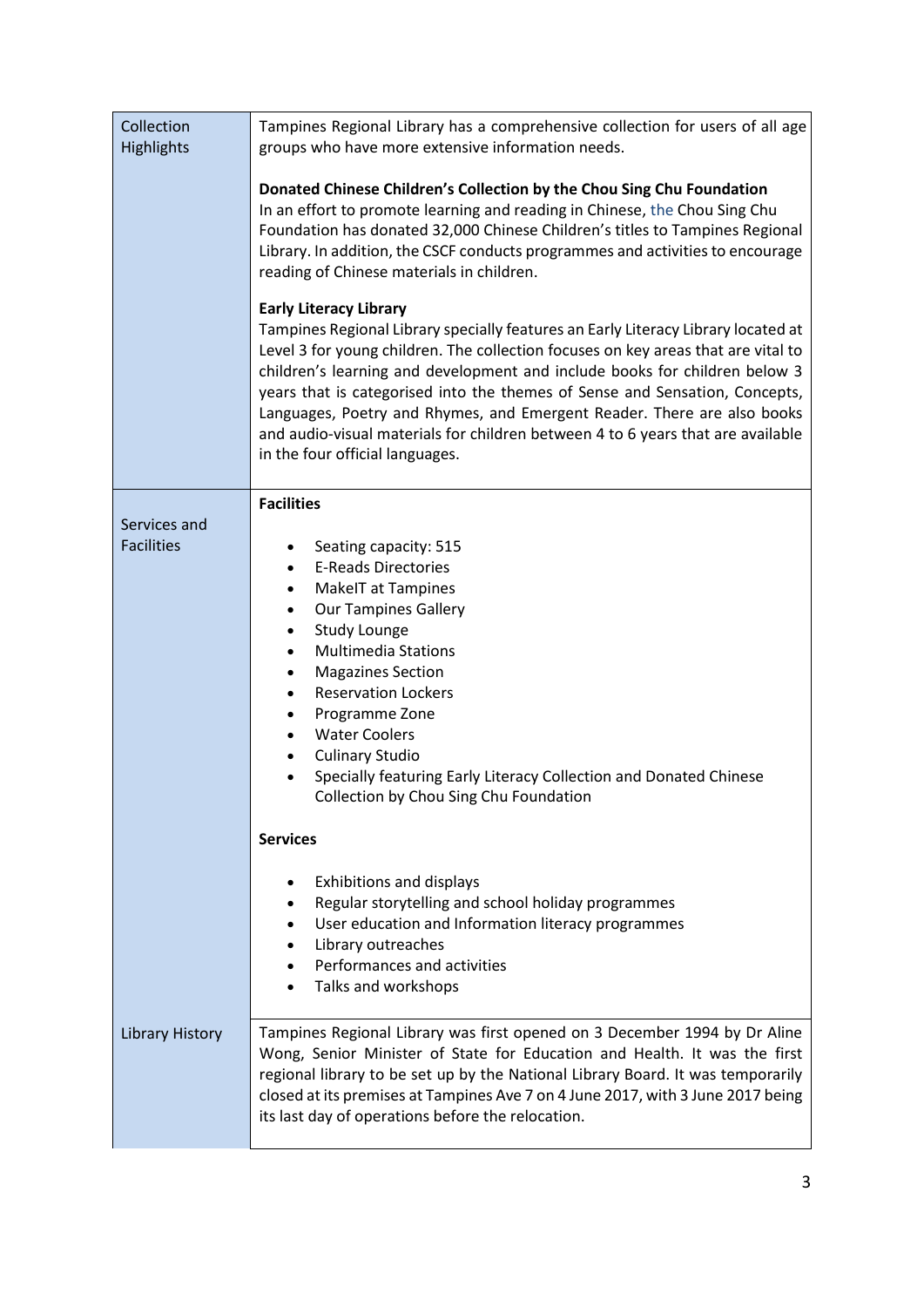| Collection<br><b>Highlights</b>   | Tampines Regional Library has a comprehensive collection for users of all age<br>groups who have more extensive information needs.                                                                                                                                                                                                                                                                                                                                                                                                                                    |
|-----------------------------------|-----------------------------------------------------------------------------------------------------------------------------------------------------------------------------------------------------------------------------------------------------------------------------------------------------------------------------------------------------------------------------------------------------------------------------------------------------------------------------------------------------------------------------------------------------------------------|
|                                   | Donated Chinese Children's Collection by the Chou Sing Chu Foundation<br>In an effort to promote learning and reading in Chinese, the Chou Sing Chu<br>Foundation has donated 32,000 Chinese Children's titles to Tampines Regional<br>Library. In addition, the CSCF conducts programmes and activities to encourage<br>reading of Chinese materials in children.                                                                                                                                                                                                    |
|                                   | <b>Early Literacy Library</b><br>Tampines Regional Library specially features an Early Literacy Library located at<br>Level 3 for young children. The collection focuses on key areas that are vital to<br>children's learning and development and include books for children below 3<br>years that is categorised into the themes of Sense and Sensation, Concepts,<br>Languages, Poetry and Rhymes, and Emergent Reader. There are also books<br>and audio-visual materials for children between 4 to 6 years that are available<br>in the four official languages. |
|                                   | <b>Facilities</b>                                                                                                                                                                                                                                                                                                                                                                                                                                                                                                                                                     |
| Services and<br><b>Facilities</b> | Seating capacity: 515<br><b>E-Reads Directories</b><br>$\bullet$<br>MakeIT at Tampines<br>$\bullet$<br><b>Our Tampines Gallery</b><br>$\bullet$<br>Study Lounge<br>$\bullet$<br><b>Multimedia Stations</b><br>$\bullet$<br><b>Magazines Section</b><br>$\bullet$<br><b>Reservation Lockers</b><br>$\bullet$<br>Programme Zone<br>$\bullet$<br><b>Water Coolers</b><br>$\bullet$<br><b>Culinary Studio</b><br>$\bullet$<br>Specially featuring Early Literacy Collection and Donated Chinese<br>$\bullet$<br>Collection by Chou Sing Chu Foundation                    |
|                                   | <b>Services</b>                                                                                                                                                                                                                                                                                                                                                                                                                                                                                                                                                       |
|                                   | <b>Exhibitions and displays</b><br>Regular storytelling and school holiday programmes<br>User education and Information literacy programmes<br>$\bullet$<br>Library outreaches<br>Performances and activities<br>Talks and workshops                                                                                                                                                                                                                                                                                                                                  |
| <b>Library History</b>            | Tampines Regional Library was first opened on 3 December 1994 by Dr Aline<br>Wong, Senior Minister of State for Education and Health. It was the first<br>regional library to be set up by the National Library Board. It was temporarily<br>closed at its premises at Tampines Ave 7 on 4 June 2017, with 3 June 2017 being<br>its last day of operations before the relocation.                                                                                                                                                                                     |